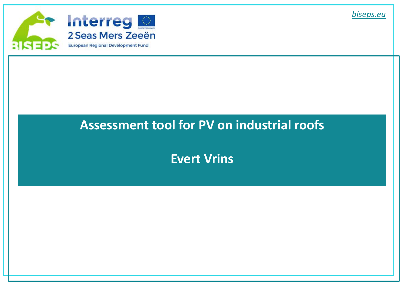

#### Assessment tool for PV on industrial roofs

**Evert Vrins**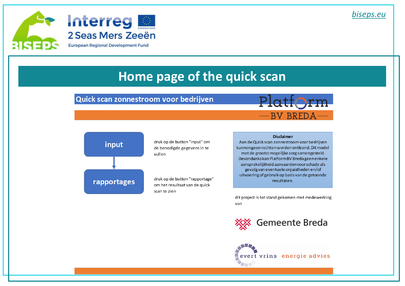



#### Home page of the quick scan

#### Quick scan zonnestroom voor bedrijven





#### **Disclaimer**

Aan de Quick scan zonnestroom voor bedrijven kunnen geen rechten worden ontleend. Dit model met de grootst mogelijke zorg samengesteld. Desondanks kan Platform BV Bredageen enkele aansprakelijkheid aanvaarden voor schade als gevolg van eventuele onjuistheden en/of uitvoering of gebruik op basis van de getoonde resultaten.

dit project is tot stand gekomen met medewerking van



 $\Delta$ ì evert vrins energie advies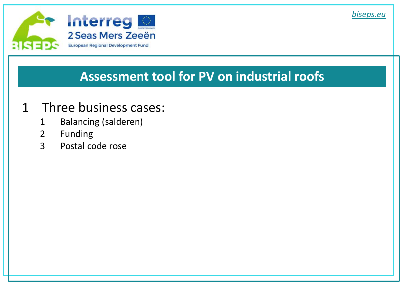

## **Assessment tool for PV on industrial roofs**

#### Three business cases:

- Balancing (salderen)
- Funding
- Postal code rose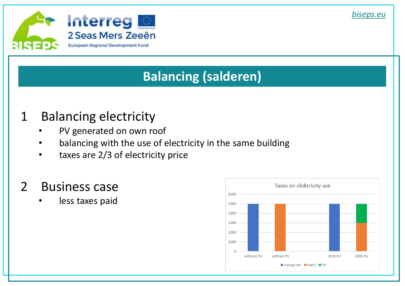

# **Balancing (salderen)**

# 1 Balancing electricity

- PV generated on own roof
- balancing with the use of electricity in the same building
- taxes are 2/3 of electricity price

# 2 Business case

less taxes paid

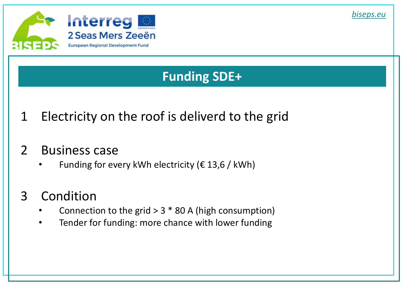



# **Funding SDE+**

1 Electricity on the roof is deliverd to the grid

#### 2 Business case

- Funding for every kWh electricity ( $\epsilon$  13,6 / kWh)
- 3 Condition
	- Connection to the grid  $> 3 * 80$  A (high consumption)
	- Tender for funding: more chance with lower funding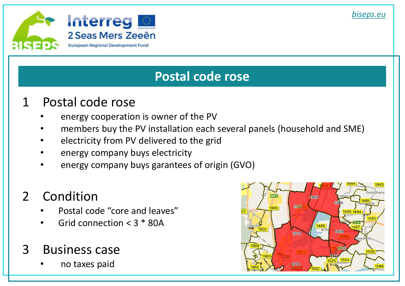

#### **Postal code rose**

#### 1 Postal code rose

- energy cooperation is owner of the PV
- members buy the PV installation each several panels (household and SME)
- electricity from PV delivered to the grid
- energy company buys electricity
- energy company buys garantees of origin (GVO)

# 2 Condition

- Postal code "core and leaves"
- Grid connection  $<$  3  $*$  80A

# 3 Business case

• no taxes paid

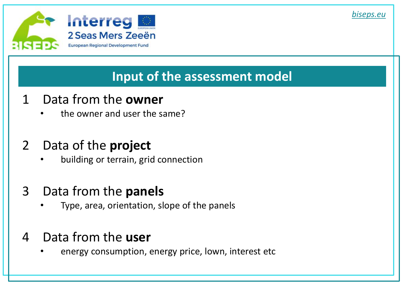

# **Input of the assessment model**

- 1 Data from the **owner**
	- the owner and user the same?

# 2 Data of the **project**

- building or terrain, grid connection
- 3 Data from the **panels**
	- Type, area, orientation, slope of the panels

# 4 Data from the **user**

energy consumption, energy price, lown, interest etc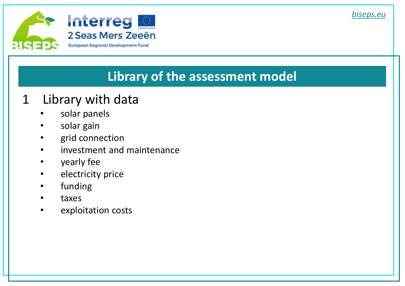

# **Library of the assessment model**

## 1 Library with data

- solar panels
- solar gain
- grid connection
- investment and maintenance
- yearly fee
- electricity price
- funding
- taxes
- exploitation costs